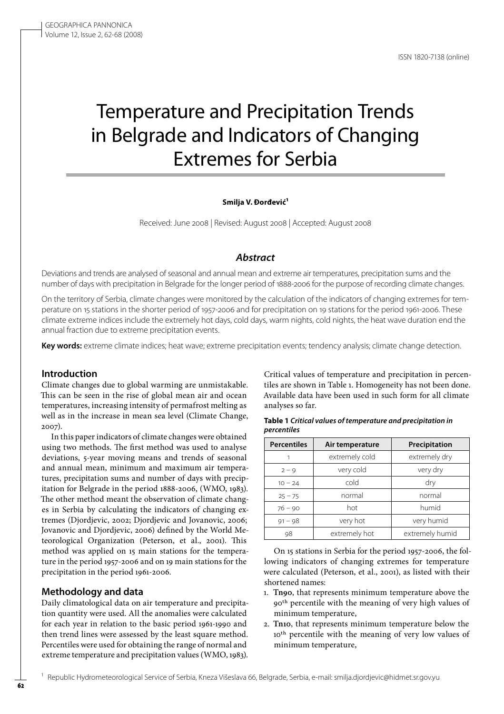# Temperature and Precipitation Trends in Belgrade and Indicators of Changing Extremes for Serbia

#### **Smilja V. Đorđević1**

Received: June 2008 | Revised: August 2008 | Accepted: August 2008

# *Abstract*

Deviations and trends are analysed of seasonal and annual mean and extreme air temperatures, precipitation sums and the number of days with precipitation in Belgrade for the longer period of 1888-2006 for the purpose of recording climate changes.

On the territory of Serbia, climate changes were monitored by the calculation of the indicators of changing extremes for temperature on 15 stations in the shorter period of 1957-2006 and for precipitation on 19 stations for the period 1961-2006. These climate extreme indices include the extremely hot days, cold days, warm nights, cold nights, the heat wave duration end the annual fraction due to extreme precipitation events.

Key words: extreme climate indices; heat wave; extreme precipitation events; tendency analysis; climate change detection.

## **Introduction**

Climate changes due to global warming are unmistakable. This can be seen in the rise of global mean air and ocean temperatures, increasing intensity of permafrost melting as well as in the increase in mean sea level (Climate Change, 2007).

In this paper indicators of climate changes were obtained using two methods. The first method was used to analyse deviations, 5-year moving means and trends of seasonal and annual mean, minimum and maximum air temperatures, precipitation sums and number of days with precipitation for Belgrade in the period 1888-2006, (WMO, 1983). The other method meant the observation of climate changes in Serbia by calculating the indicators of changing extremes (Djordjevic, 2002; Djordjevic and Jovanovic, 2006; Jovanovic and Djordjevic, 2006) defined by the World Meteorological Organization (Peterson, et al., 2001). This method was applied on 15 main stations for the temperature in the period 1957-2006 and on 19 main stations for the precipitation in the period 1961-2006.

## **Methodology and data**

Daily climatological data on air temperature and precipitation quantity were used. All the anomalies were calculated for each year in relation to the basic period 1961-1990 and then trend lines were assessed by the least square method. Percentiles were used for obtaining the range of normal and extreme temperature and precipitation values (WMO, 1983).

Critical values of temperature and precipitation in percentiles are shown in Table 1. Homogeneity has not been done. Available data have been used in such form for all climate analyses so far.

| Table 1 Critical values of temperature and precipitation in |  |  |  |  |  |
|-------------------------------------------------------------|--|--|--|--|--|
| percentiles                                                 |  |  |  |  |  |
|                                                             |  |  |  |  |  |

| <b>Percentiles</b> | Air temperature | Precipitation   |  |
|--------------------|-----------------|-----------------|--|
| 1                  | extremely cold  | extremely dry   |  |
| $2 - 9$            | very cold       | very dry        |  |
| $10 - 24$          | cold            | dry             |  |
| $25 - 75$          | normal          | normal          |  |
| $76 - 90$          | hot             | humid           |  |
| $91 - 98$          | very hot        | very humid      |  |
| 98                 | extremely hot   | extremely humid |  |

On 15 stations in Serbia for the period 1957-2006, the following indicators of changing extremes for temperature were calculated (Peterson, et al., 2001), as listed with their shortened names:

- 1. **Tn90**, that represents minimum temperature above the 90th percentile with the meaning of very high values of minimum temperature,
- 2. **Tn10**, that represents minimum temperature below the 10<sup>th</sup> percentile with the meaning of very low values of minimum temperature,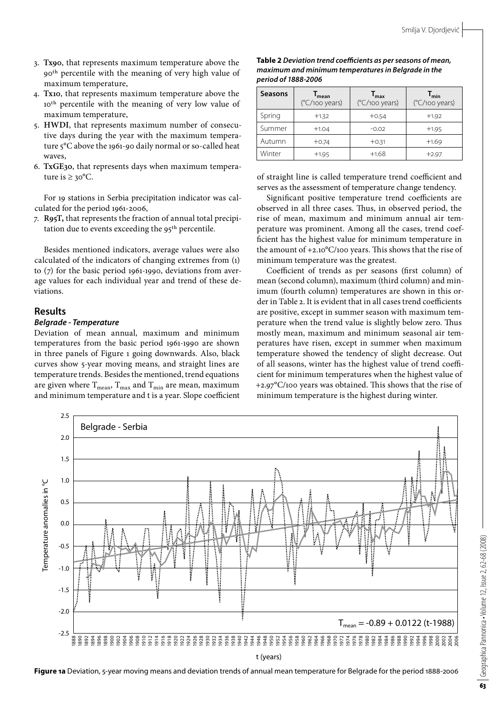- 3. **Tx90**, that represents maximum temperature above the 90th percentile with the meaning of very high value of maximum temperature,
- 4. **Tx10**, that represents maximum temperature above the 10th percentile with the meaning of very low value of maximum temperature,
- 5. **HWDI**, that represents maximum number of consecutive days during the year with the maximum temperature 5°C above the 1961-90 daily normal or so-called heat waves,
- 6. **TxGE30**, that represents days when maximum temperature is  $\geq 30^{\circ}$ C.

For 19 stations in Serbia precipitation indicator was calculated for the period 1961-2006,

7. **R95T,** that represents the fraction of annual total precipitation due to events exceeding the 95th percentile.

Besides mentioned indicators, average values were also calculated of the indicators of changing extremes from (1) to (7) for the basic period 1961-1990, deviations from average values for each individual year and trend of these deviations.

## **Results**

# *Belgrade - Temperature*

Deviation of mean annual, maximum and minimum temperatures from the basic period 1961-1990 are shown in three panels of Figure 1 going downwards. Also, black curves show 5-year moving means, and straight lines are temperature trends. Besides the mentioned, trend equations are given where  $\rm T_{mean},$   $\rm T_{max}$  and  $\rm T_{min}$  are mean, maximum and minimum temperature and t is a year. Slope coefficient

| Table 2 Deviation trend coefficients as per seasons of mean, |
|--------------------------------------------------------------|
| maximum and minimum temperatures in Belgrade in the          |
| period of 1888-2006                                          |

| <b>Seasons</b> | mean<br>$(^{\circ}C/100$ years) | max<br>$(^{\circ}C/100$ years) | $\mathsf{I}_{\mathsf{min}}$<br>$(^{\circ}C/100$ years) |
|----------------|---------------------------------|--------------------------------|--------------------------------------------------------|
| Spring         | $+1.32$                         | $+0.54$                        | $+1.92$                                                |
| Summer         | $+1.04$                         | $-0.02$                        | $+1.95$                                                |
| Autumn         | $+0.74$                         | $+0.31$                        | $+1.69$                                                |
| Winter         | $+1.95$                         | $+1.68$                        | $+2.97$                                                |

of straight line is called temperature trend coefficient and serves as the assessment of temperature change tendency.

Significant positive temperature trend coefficients are observed in all three cases. Thus, in observed period, the rise of mean, maximum and minimum annual air temperature was prominent. Among all the cases, trend coefficient has the highest value for minimum temperature in the amount of +2.10°C/100 years. This shows that the rise of minimum temperature was the greatest.

Coefficient of trends as per seasons (first column) of mean (second column), maximum (third column) and minimum (fourth column) temperatures are shown in this order in Table 2. It is evident that in all cases trend coefficients are positive, except in summer season with maximum temperature when the trend value is slightly below zero. Thus mostly mean, maximum and minimum seasonal air temperatures have risen, except in summer when maximum temperature showed the tendency of slight decrease. Out of all seasons, winter has the highest value of trend coefficient for minimum temperatures when the highest value of +2.97°C/100 years was obtained. This shows that the rise of minimum temperature is the highest during winter.



**Figure 1a** Deviation, 5-year moving means and deviation trends of annual mean temperature for Belgrade for the period 1888-2006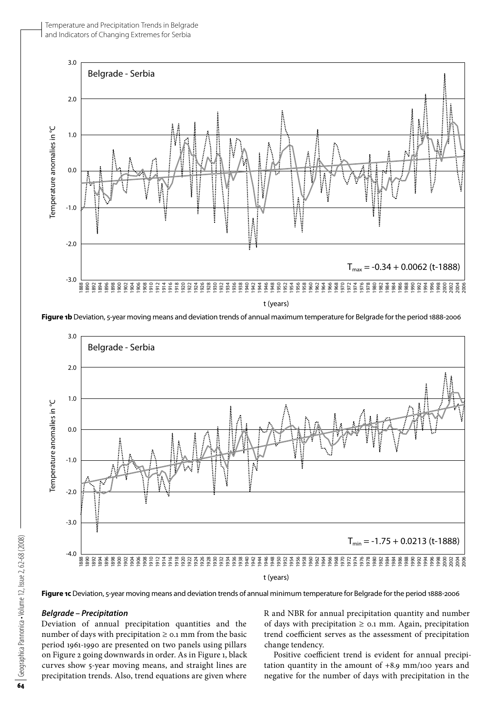

**Figure 1b** Deviation, 5-year moving means and deviation trends of annual maximum temperature for Belgrade for the period 1888-2006



## *Belgrade – Precipitation*

Deviation of annual precipitation quantities and the number of days with precipitation  $\geq$  0.1 mm from the basic period 1961-1990 are presented on two panels using pillars on Figure 2 going downwards in order. As in Figure 1, black curves show 5-year moving means, and straight lines are precipitation trends. Also, trend equations are given where R and NBR for annual precipitation quantity and number of days with precipitation  $\geq$  0.1 mm. Again, precipitation trend coefficient serves as the assessment of precipitation change tendency.

Positive coefficient trend is evident for annual precipitation quantity in the amount of +8.9 mm/100 years and negative for the number of days with precipitation in the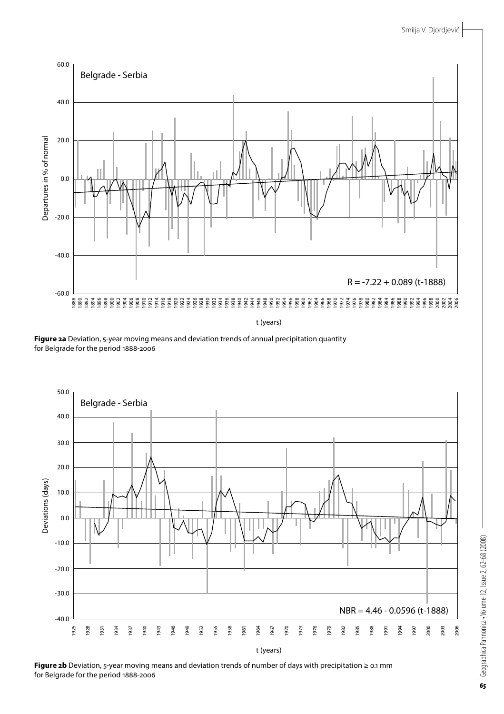

t (years)

**Figure 2a** Deviation, 5-year moving means and deviation trends of annual precipitation quantity for Belgrade for the period 1888-2006



**Figure 2b** Deviation, 5-year moving means and deviation trends of number of days with precipitation ≥ 0.1 mm for Belgrade for the period 1888-2006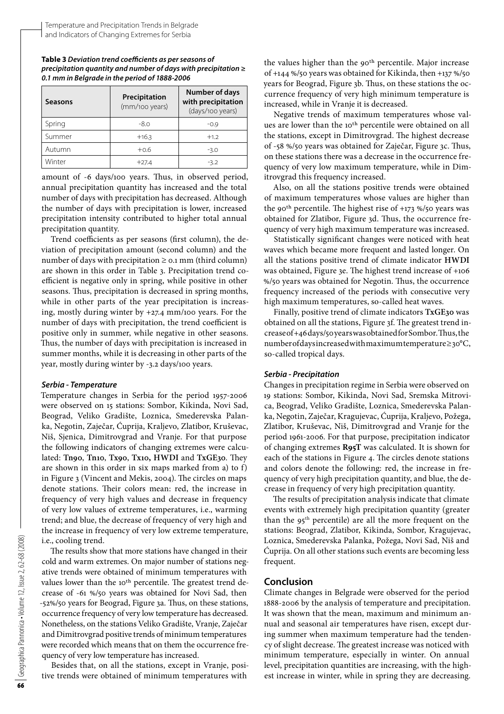#### **Table 3** *Deviation trend cоеfficients as per seasons of precipitation quantity and number of days with precipitation ≥ 0.1 mm in Belgrade in the period of 1888-2006*

| <b>Seasons</b> | Precipitation<br>(mm/100 years) | <b>Number of days</b><br>with precipitation<br>(days/100 years) |
|----------------|---------------------------------|-----------------------------------------------------------------|
| Spring         | $-8.0$                          | $-0.9$                                                          |
| Summer         | $+16.3$                         | $+1.2$                                                          |
| Autumn         | $+0.6$                          | $-3.0$                                                          |
| Winter         | $+27.4$                         | $-3.2$                                                          |

amount of -6 days/100 years. Thus, in observed period, annual precipitation quantity has increased and the total number of days with precipitation has decreased. Although the number of days with precipitation is lower, increased precipitation intensity contributed to higher total annual precipitation quantity.

Trend coefficients as per seasons (first column), the deviation of precipitation amount (second column) and the number of days with precipitation ≥ 0.1 mm (third column) are shown in this order in Table 3. Precipitation trend coefficient is negative only in spring, while positive in other seasons. Thus, precipitation is decreased in spring months, while in other parts of the year precipitation is increasing, mostly during winter by +27.4 mm/100 years. For the number of days with precipitation, the trend coefficient is positive only in summer, while negative in other seasons. Thus, the number of days with precipitation is increased in summer months, while it is decreasing in other parts of the year, mostly during winter by -3.2 days/100 years.

## *Serbia - Temperature*

Temperature changes in Serbia for the period 1957-2006 were observed on 15 stations: Sombor, Kikinda, Novi Sad, Beograd, Veliko Gradište, Loznica, Smederevska Palanka, Negotin, Zaječar, Ćuprija, Kraljevo, Zlatibor, Kruševac, Niš, Sjenica, Dimitrovgrad and Vranje. For that purpose the following indicators of changing extremes were calculated: **Tn90**, **Tn10**, **Tx90**, **Tx10, HWDI** and **TxGE30**. They are shown in this order in six maps marked from a) to f) in Figure 3 (Vincent and Mekis, 2004). The circles on maps denote stations. Their colors mean: red, the increase in frequency of very high values and decrease in frequency of very low values of extreme temperatures, i.e., warming trend; and blue, the decrease of frequency of very high and the increase in frequency of very low extreme temperature, i.e., cooling trend.

The results show that more stations have changed in their cold and warm extremes. On major number of stations negative trends were obtained of minimum temperatures with values lower than the 10<sup>th</sup> percentile. The greatest trend decrease оf -61 %/50 years was obtained for Novi Sad, then -52%/50 years for Beograd, Figure 3a. Thus, on these stations, occurrence frequency of very low temperature has decreased. Nonetheless, on the stations Veliko Gradište, Vranje, Zaječar and Dimitrovgrad positive trends of minimum temperatures were recorded which means that on them the occurrence frequency of very low temperature has increased.

Besides that, on all the stations, except in Vranje, positive trends were obtained of minimum temperatures with

the values higher than the 90<sup>th</sup> percentile. Major increase of +144 %/50 years was obtained for Kikinda, then +137 %/50 years for Beograd, Figure 3b. Thus, on these stations the occurrence frequency of very high minimum temperature is increased, while in Vranje it is decreased.

Negative trends of maximum temperatures whose values are lower than the 10<sup>th</sup> percentile were obtained on all the stations, except in Dimitrovgrad. The highest decrease of -58 %/50 years was obtained for Zaječar, Figure 3c. Thus, on these stations there was a decrease in the occurrence frequency of very low maximum temperature, while in Dimitrovgrad this frequency increased.

Also, on all the stations positive trends were obtained of maximum temperatures whose values are higher than the 90<sup>th</sup> percentile. The highest rise of  $+173$  %/50 years was obtained for Zlatibor, Figure 3d. Thus, the occurrence frequency of very high maximum temperature was increased.

Statistically significant changes were noticed with heat waves which became more frequent and lasted longer. On all the stations positive trend of climate indicator **HWDI** was obtained, Figure 3e. The highest trend increase of +106 %/50 years was obtained for Negotin. Thus, the occurrence frequency increased of the periods with consecutive very high maximum temperatures, so-called heat waves.

Finally, positive trend of climate indicators **TxGE30** was obtained on all the stations, Figure 3f. The greatest trend increase of +46 days/50 years was obtained for Sombor. Thus, the number of days increased with maximum temperature ≥ 30°C, so-called tropical days.

#### *Serbia - Precipitation*

Changes in precipitation regime in Serbia were observed on 19 stations: Sombor, Kikinda, Novi Sad, Sremska Mitrovica, Beograd, Veliko Gradište, Loznica, Smederevska Palanka, Negotin, Zaječar, Kragujevac, Ćuprija, Kraljevo, Požega, Zlatibor, Kruševac, Niš, Dimitrovgrad and Vranje for the period 1961-2006. For that purpose, precipitation indicator of changing extremes **R95T** was calculated. It is shown for each of the stations in Figure 4. The circles denote stations and colors denote the following: red, the increase in frequency of very high precipitation quantity, and blue, the decrease in frequency of very high precipitation quantity.

The results of precipitation analysis indicate that climate events with extremely high precipitation quantity (greater than the  $95<sup>th</sup>$  percentile) are all the more frequent on the stations: Beograd, Zlatibor, Kikinda, Sombor, Kragujevac, Loznica, Smederevska Palanka, Požega, Novi Sad, Niš and Ćuprija. On all other stations such events are becoming less frequent.

## **Conclusion**

Climate changes in Belgrade were observed for the period 1888-2006 by the analysis of temperature and precipitation. It was shown that the mean, maximum and minimum annual and seasonal air temperatures have risen, except during summer when maximum temperature had the tendency of slight decrease. The greatest increase was noticed with minimum temperature, especially in winter. On annual level, precipitation quantities are increasing, with the highest increase in winter, while in spring they are decreasing.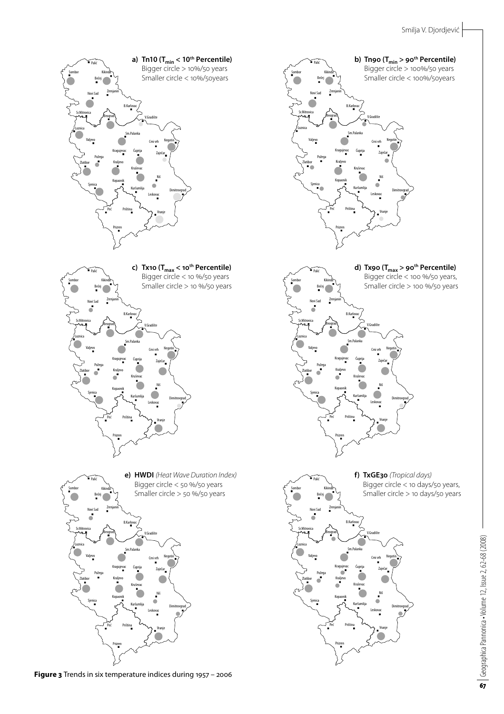

**Figure 3** Trends in six temperature indices during 1957 – 2006